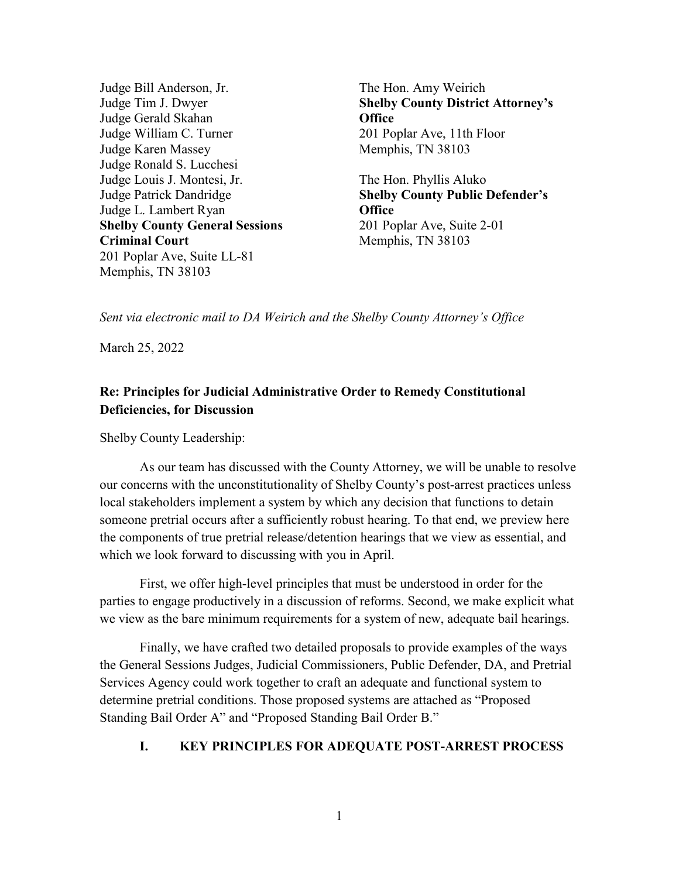Judge Bill Anderson, Jr. Judge Tim J. Dwyer Judge Gerald Skahan Judge William C. Turner Judge Karen Massey Judge Ronald S. Lucchesi Judge Louis J. Montesi, Jr. Judge Patrick Dandridge Judge L. Lambert Ryan **Shelby County General Sessions Criminal Court** 201 Poplar Ave, Suite LL-81 Memphis, TN 38103

The Hon. Amy Weirich **Shelby County District Attorney's Office** 201 Poplar Ave, 11th Floor Memphis, TN 38103

The Hon. Phyllis Aluko **Shelby County Public Defender's Office** 201 Poplar Ave, Suite 2-01 Memphis, TN 38103

*Sent via electronic mail to DA Weirich and the Shelby County Attorney's Office* 

March 25, 2022

# **Re: Principles for Judicial Administrative Order to Remedy Constitutional Deficiencies, for Discussion**

Shelby County Leadership:

As our team has discussed with the County Attorney, we will be unable to resolve our concerns with the unconstitutionality of Shelby County's post-arrest practices unless local stakeholders implement a system by which any decision that functions to detain someone pretrial occurs after a sufficiently robust hearing. To that end, we preview here the components of true pretrial release/detention hearings that we view as essential, and which we look forward to discussing with you in April.

First, we offer high-level principles that must be understood in order for the parties to engage productively in a discussion of reforms. Second, we make explicit what we view as the bare minimum requirements for a system of new, adequate bail hearings.

Finally, we have crafted two detailed proposals to provide examples of the ways the General Sessions Judges, Judicial Commissioners, Public Defender, DA, and Pretrial Services Agency could work together to craft an adequate and functional system to determine pretrial conditions. Those proposed systems are attached as "Proposed Standing Bail Order A" and "Proposed Standing Bail Order B."

# **I. KEY PRINCIPLES FOR ADEQUATE POST-ARREST PROCESS**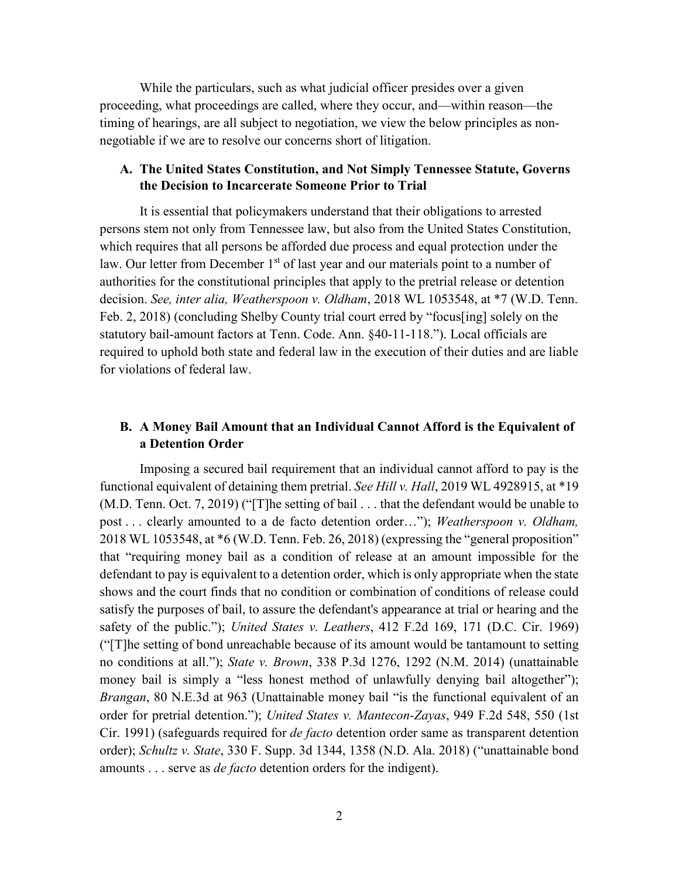While the particulars, such as what judicial officer presides over a given proceeding, what proceedings are called, where they occur, and—within reason—the timing of hearings, are all subject to negotiation, we view the below principles as nonnegotiable if we are to resolve our concerns short of litigation.

#### **A. The United States Constitution, and Not Simply Tennessee Statute, Governs the Decision to Incarcerate Someone Prior to Trial**

It is essential that policymakers understand that their obligations to arrested persons stem not only from Tennessee law, but also from the United States Constitution, which requires that all persons be afforded due process and equal protection under the law. Our letter from December  $1<sup>st</sup>$  of last year and our materials point to a number of authorities for the constitutional principles that apply to the pretrial release or detention decision. *See, inter alia, Weatherspoon v. Oldham*, 2018 WL 1053548, at \*7 (W.D. Tenn. Feb. 2, 2018) (concluding Shelby County trial court erred by "focus[ing] solely on the statutory bail-amount factors at Tenn. Code. Ann. §40-11-118."). Local officials are required to uphold both state and federal law in the execution of their duties and are liable for violations of federal law.

# **B. A Money Bail Amount that an Individual Cannot Afford is the Equivalent of a Detention Order**

Imposing a secured bail requirement that an individual cannot afford to pay is the functional equivalent of detaining them pretrial. *See Hill v. Hall*, 2019 WL 4928915, at \*19 (M.D. Tenn. Oct. 7, 2019) ("[T]he setting of bail . . . that the defendant would be unable to post . . . clearly amounted to a de facto detention order…"); *Weatherspoon v. Oldham,* 2018 WL 1053548, at \*6 (W.D. Tenn. Feb. 26, 2018) (expressing the "general proposition" that "requiring money bail as a condition of release at an amount impossible for the defendant to pay is equivalent to a detention order, which is only appropriate when the state shows and the court finds that no condition or combination of conditions of release could satisfy the purposes of bail, to assure the defendant's appearance at trial or hearing and the safety of the public."); *United States v. Leathers*, 412 F.2d 169, 171 (D.C. Cir. 1969) ("[T]he setting of bond unreachable because of its amount would be tantamount to setting no conditions at all."); *State v. Brown*, 338 P.3d 1276, 1292 (N.M. 2014) (unattainable money bail is simply a "less honest method of unlawfully denying bail altogether"); *Brangan*, 80 N.E.3d at 963 (Unattainable money bail "is the functional equivalent of an order for pretrial detention."); *United States v. Mantecon-Zayas*, 949 F.2d 548, 550 (1st Cir. 1991) (safeguards required for *de facto* detention order same as transparent detention order); *Schultz v. State*, 330 F. Supp. 3d 1344, 1358 (N.D. Ala. 2018) ("unattainable bond amounts . . . serve as *de facto* detention orders for the indigent).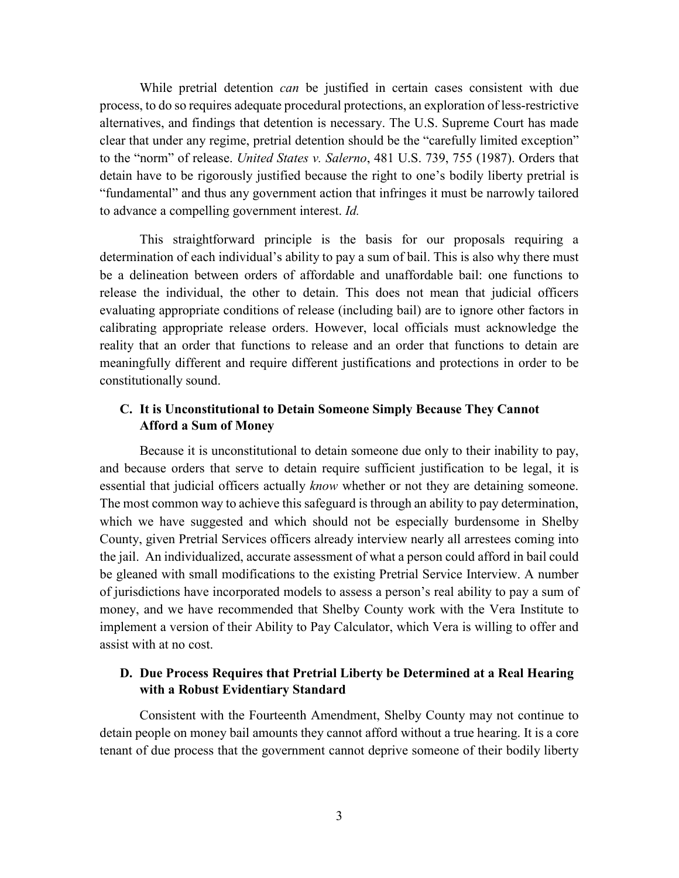While pretrial detention *can* be justified in certain cases consistent with due process, to do so requires adequate procedural protections, an exploration of less-restrictive alternatives, and findings that detention is necessary. The U.S. Supreme Court has made clear that under any regime, pretrial detention should be the "carefully limited exception" to the "norm" of release. *United States v. Salerno*, 481 U.S. 739, 755 (1987). Orders that detain have to be rigorously justified because the right to one's bodily liberty pretrial is "fundamental" and thus any government action that infringes it must be narrowly tailored to advance a compelling government interest. *Id.* 

This straightforward principle is the basis for our proposals requiring a determination of each individual's ability to pay a sum of bail. This is also why there must be a delineation between orders of affordable and unaffordable bail: one functions to release the individual, the other to detain. This does not mean that judicial officers evaluating appropriate conditions of release (including bail) are to ignore other factors in calibrating appropriate release orders. However, local officials must acknowledge the reality that an order that functions to release and an order that functions to detain are meaningfully different and require different justifications and protections in order to be constitutionally sound.

#### **C. It is Unconstitutional to Detain Someone Simply Because They Cannot Afford a Sum of Money**

Because it is unconstitutional to detain someone due only to their inability to pay, and because orders that serve to detain require sufficient justification to be legal, it is essential that judicial officers actually *know* whether or not they are detaining someone. The most common way to achieve this safeguard is through an ability to pay determination, which we have suggested and which should not be especially burdensome in Shelby County, given Pretrial Services officers already interview nearly all arrestees coming into the jail. An individualized, accurate assessment of what a person could afford in bail could be gleaned with small modifications to the existing Pretrial Service Interview. A number of jurisdictions have incorporated models to assess a person's real ability to pay a sum of money, and we have recommended that Shelby County work with the Vera Institute to implement a version of their Ability to Pay Calculator, which Vera is willing to offer and assist with at no cost.

#### **D. Due Process Requires that Pretrial Liberty be Determined at a Real Hearing with a Robust Evidentiary Standard**

Consistent with the Fourteenth Amendment, Shelby County may not continue to detain people on money bail amounts they cannot afford without a true hearing. It is a core tenant of due process that the government cannot deprive someone of their bodily liberty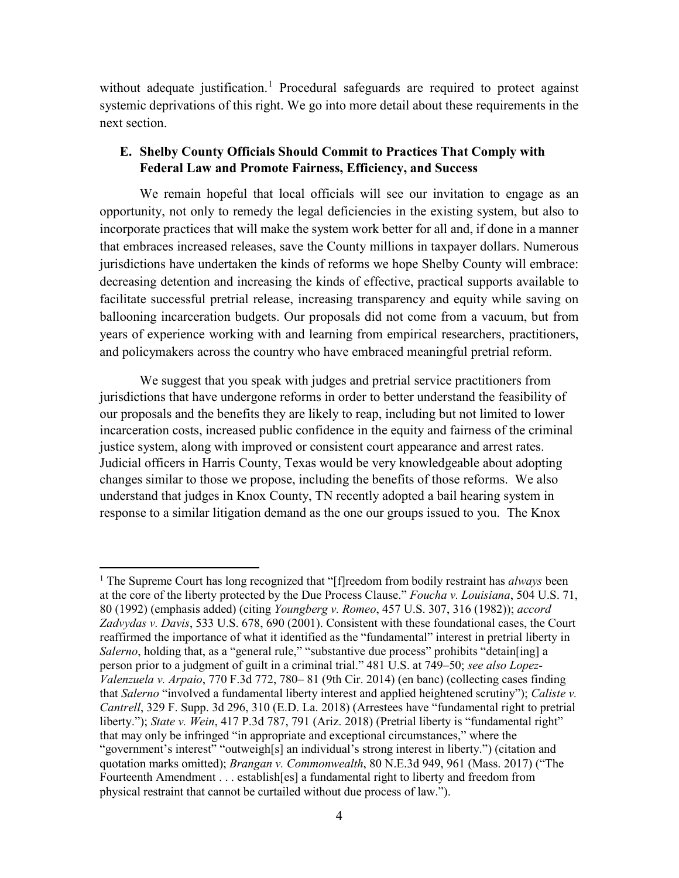without adequate justification.<sup>[1](#page-3-0)</sup> Procedural safeguards are required to protect against systemic deprivations of this right. We go into more detail about these requirements in the next section.

#### **E. Shelby County Officials Should Commit to Practices That Comply with Federal Law and Promote Fairness, Efficiency, and Success**

We remain hopeful that local officials will see our invitation to engage as an opportunity, not only to remedy the legal deficiencies in the existing system, but also to incorporate practices that will make the system work better for all and, if done in a manner that embraces increased releases, save the County millions in taxpayer dollars. Numerous jurisdictions have undertaken the kinds of reforms we hope Shelby County will embrace: decreasing detention and increasing the kinds of effective, practical supports available to facilitate successful pretrial release, increasing transparency and equity while saving on ballooning incarceration budgets. Our proposals did not come from a vacuum, but from years of experience working with and learning from empirical researchers, practitioners, and policymakers across the country who have embraced meaningful pretrial reform.

We suggest that you speak with judges and pretrial service practitioners from jurisdictions that have undergone reforms in order to better understand the feasibility of our proposals and the benefits they are likely to reap, including but not limited to lower incarceration costs, increased public confidence in the equity and fairness of the criminal justice system, along with improved or consistent court appearance and arrest rates. Judicial officers in Harris County, Texas would be very knowledgeable about adopting changes similar to those we propose, including the benefits of those reforms. We also understand that judges in Knox County, TN recently adopted a bail hearing system in response to a similar litigation demand as the one our groups issued to you. The Knox

l

<span id="page-3-0"></span><sup>&</sup>lt;sup>1</sup> The Supreme Court has long recognized that "[f]reedom from bodily restraint has *always* been at the core of the liberty protected by the Due Process Clause." *Foucha v. Louisiana*, 504 U.S. 71, 80 (1992) (emphasis added) (citing *Youngberg v. Romeo*, 457 U.S. 307, 316 (1982)); *accord Zadvydas v. Davis*, 533 U.S. 678, 690 (2001). Consistent with these foundational cases, the Court reaffirmed the importance of what it identified as the "fundamental" interest in pretrial liberty in *Salerno*, holding that, as a "general rule," "substantive due process" prohibits "detain[ing] a person prior to a judgment of guilt in a criminal trial." 481 U.S. at 749–50; *see also Lopez-Valenzuela v. Arpaio*, 770 F.3d 772, 780– 81 (9th Cir. 2014) (en banc) (collecting cases finding that *Salerno* "involved a fundamental liberty interest and applied heightened scrutiny"); *Caliste v. Cantrell*, 329 F. Supp. 3d 296, 310 (E.D. La. 2018) (Arrestees have "fundamental right to pretrial liberty."); *State v. Wein*, 417 P.3d 787, 791 (Ariz. 2018) (Pretrial liberty is "fundamental right" that may only be infringed "in appropriate and exceptional circumstances," where the "government's interest" "outweigh[s] an individual's strong interest in liberty.") (citation and quotation marks omitted); *Brangan v. Commonwealth*, 80 N.E.3d 949, 961 (Mass. 2017) ("The Fourteenth Amendment . . . establish[es] a fundamental right to liberty and freedom from physical restraint that cannot be curtailed without due process of law.").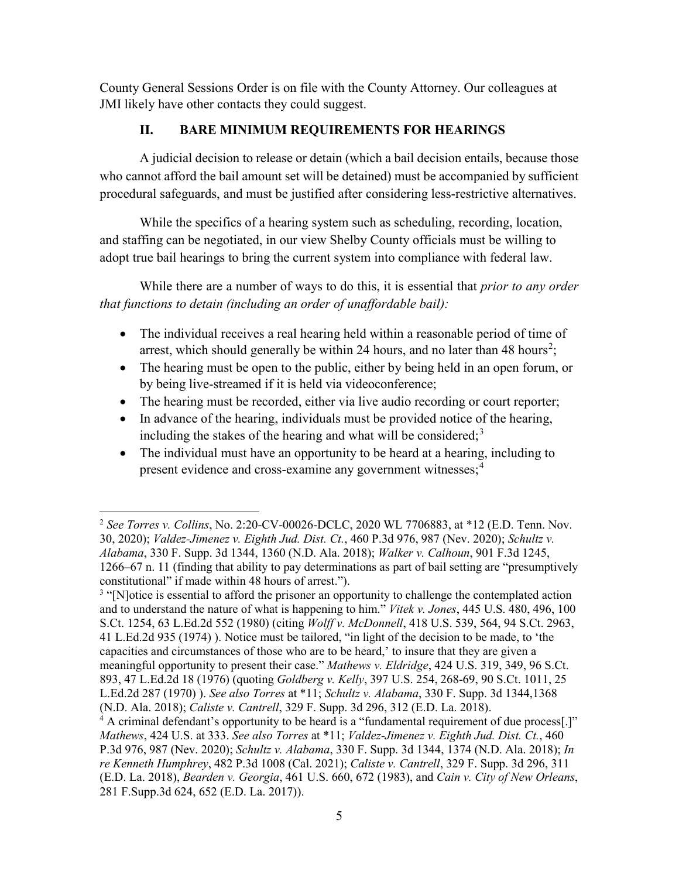County General Sessions Order is on file with the County Attorney. Our colleagues at JMI likely have other contacts they could suggest.

# **II. BARE MINIMUM REQUIREMENTS FOR HEARINGS**

A judicial decision to release or detain (which a bail decision entails, because those who cannot afford the bail amount set will be detained) must be accompanied by sufficient procedural safeguards, and must be justified after considering less-restrictive alternatives.

While the specifics of a hearing system such as scheduling, recording, location, and staffing can be negotiated, in our view Shelby County officials must be willing to adopt true bail hearings to bring the current system into compliance with federal law.

While there are a number of ways to do this, it is essential that *prior to any order that functions to detain (including an order of unaffordable bail):*

- The individual receives a real hearing held within a reasonable period of time of arrest, which should generally be within [2](#page-4-0)4 hours, and no later than 48 hours<sup>2</sup>;
- The hearing must be open to the public, either by being held in an open forum, or by being live-streamed if it is held via videoconference;
- The hearing must be recorded, either via live audio recording or court reporter;
- In advance of the hearing, individuals must be provided notice of the hearing, including the stakes of the hearing and what will be considered;<sup>[3](#page-4-1)</sup>
- The individual must have an opportunity to be heard at a hearing, including to present evidence and cross-examine any government witnesses;<sup>[4](#page-4-2)</sup>

<span id="page-4-0"></span>l <sup>2</sup> *See Torres v. Collins*, No. 2:20-CV-00026-DCLC, 2020 WL 7706883, at \*12 (E.D. Tenn. Nov. 30, 2020); *Valdez-Jimenez v. Eighth Jud. Dist. Ct.*, 460 P.3d 976, 987 (Nev. 2020); *Schultz v. Alabama*, 330 F. Supp. 3d 1344, 1360 (N.D. Ala. 2018); *Walker v. Calhoun*, 901 F.3d 1245, 1266–67 n. 11 (finding that ability to pay determinations as part of bail setting are "presumptively constitutional" if made within 48 hours of arrest.").

<span id="page-4-1"></span><sup>&</sup>lt;sup>3</sup> "[N]otice is essential to afford the prisoner an opportunity to challenge the contemplated action and to understand the nature of what is happening to him." *Vitek v. Jones*, 445 U.S. 480, 496, 100 S.Ct. 1254, 63 L.Ed.2d 552 (1980) (citing *Wolff v. McDonnell*, 418 U.S. 539, 564, 94 S.Ct. 2963, 41 L.Ed.2d 935 (1974) ). Notice must be tailored, "in light of the decision to be made, to 'the capacities and circumstances of those who are to be heard,' to insure that they are given a meaningful opportunity to present their case." *Mathews v. Eldridge*, 424 U.S. 319, 349, 96 S.Ct. 893, 47 L.Ed.2d 18 (1976) (quoting *Goldberg v. Kelly*, 397 U.S. 254, 268-69, 90 S.Ct. 1011, 25 L.Ed.2d 287 (1970) ). *See also Torres* at \*11; *Schultz v. Alabama*, 330 F. Supp. 3d 1344,1368 (N.D. Ala. 2018); *Caliste v. Cantrell*, 329 F. Supp. 3d 296, 312 (E.D. La. 2018).

<span id="page-4-2"></span> $4$  A criminal defendant's opportunity to be heard is a "fundamental requirement of due process.]" *Mathews*, 424 U.S. at 333. *See also Torres* at \*11; *Valdez-Jimenez v. Eighth Jud. Dist. Ct.*, 460 P.3d 976, 987 (Nev. 2020); *Schultz v. Alabama*, 330 F. Supp. 3d 1344, 1374 (N.D. Ala. 2018); *In re Kenneth Humphrey*, 482 P.3d 1008 (Cal. 2021); *Caliste v. Cantrell*, 329 F. Supp. 3d 296, 311 (E.D. La. 2018), *Bearden v. Georgia*, 461 U.S. 660, 672 (1983), and *Cain v. City of New Orleans*, 281 F.Supp.3d 624, 652 (E.D. La. 2017)).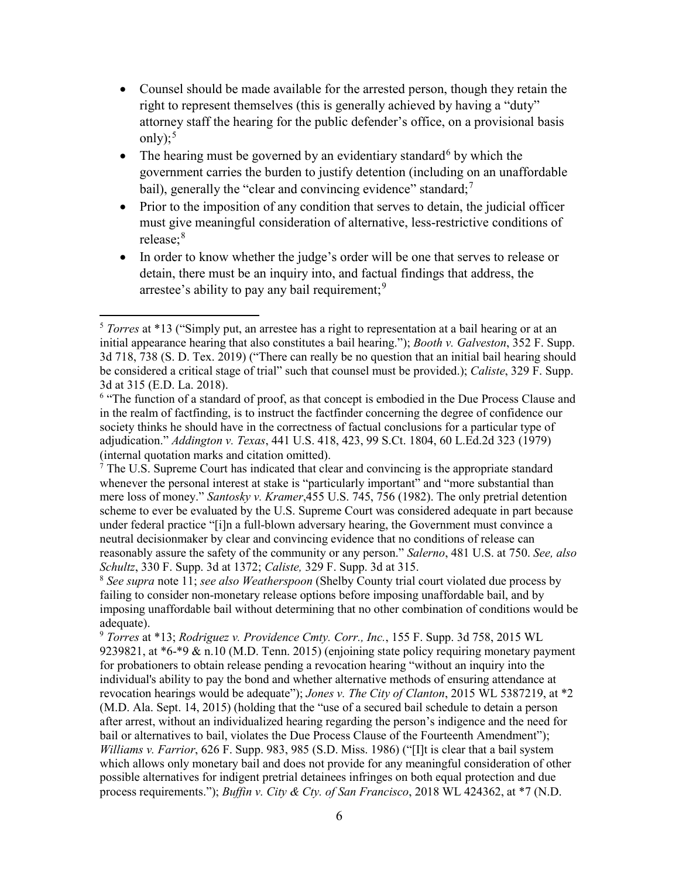- Counsel should be made available for the arrested person, though they retain the right to represent themselves (this is generally achieved by having a "duty" attorney staff the hearing for the public defender's office, on a provisional basis only); $5$
- The hearing must be governed by an evidentiary standard<sup>[6](#page-5-1)</sup> by which the government carries the burden to justify detention (including on an unaffordable bail), generally the "clear and convincing evidence" standard;<sup>[7](#page-5-2)</sup>
- Prior to the imposition of any condition that serves to detain, the judicial officer must give meaningful consideration of alternative, less-restrictive conditions of release; [8](#page-5-3)
- In order to know whether the judge's order will be one that serves to release or detain, there must be an inquiry into, and factual findings that address, the arrestee's ability to pay any bail requirement:  $9$

 $\overline{a}$ 

<span id="page-5-2"></span><sup>7</sup> The U.S. Supreme Court has indicated that clear and convincing is the appropriate standard whenever the personal interest at stake is "particularly important" and "more substantial than mere loss of money." *Santosky v. Kramer*,455 U.S. 745, 756 (1982). The only pretrial detention scheme to ever be evaluated by the U.S. Supreme Court was considered adequate in part because under federal practice "[i]n a full-blown adversary hearing, the Government must convince a neutral decisionmaker by clear and convincing evidence that no conditions of release can reasonably assure the safety of the community or any person." *Salerno*, 481 U.S. at 750. *See, also Schultz*, 330 F. Supp. 3d at 1372; *Caliste,* 329 F. Supp. 3d at 315.

<span id="page-5-3"></span><sup>8</sup> *See supra* note 11; *see also Weatherspoon* (Shelby County trial court violated due process by failing to consider non-monetary release options before imposing unaffordable bail, and by imposing unaffordable bail without determining that no other combination of conditions would be adequate).

<span id="page-5-4"></span><sup>9</sup> *Torres* at \*13; *Rodriguez v. Providence Cmty. Corr., Inc.*, 155 F. Supp. 3d 758, 2015 WL 9239821, at  $*6-*9$  & n.10 (M.D. Tenn. 2015) (enjoining state policy requiring monetary payment for probationers to obtain release pending a revocation hearing "without an inquiry into the individual's ability to pay the bond and whether alternative methods of ensuring attendance at revocation hearings would be adequate"); *Jones v. The City of Clanton*, 2015 WL 5387219, at \*2 (M.D. Ala. Sept. 14, 2015) (holding that the "use of a secured bail schedule to detain a person after arrest, without an individualized hearing regarding the person's indigence and the need for bail or alternatives to bail, violates the Due Process Clause of the Fourteenth Amendment"); *Williams v. Farrior*, 626 F. Supp. 983, 985 (S.D. Miss. 1986) ("[I]t is clear that a bail system which allows only monetary bail and does not provide for any meaningful consideration of other possible alternatives for indigent pretrial detainees infringes on both equal protection and due process requirements."); *Buffin v. City & Cty. of San Francisco*, 2018 WL 424362, at \*7 (N.D.

<span id="page-5-0"></span><sup>5</sup> *Torres* at \*13 ("Simply put, an arrestee has a right to representation at a bail hearing or at an initial appearance hearing that also constitutes a bail hearing."); *Booth v. Galveston*, 352 F. Supp. 3d 718, 738 (S. D. Tex. 2019) ("There can really be no question that an initial bail hearing should be considered a critical stage of trial" such that counsel must be provided.); *Caliste*, 329 F. Supp. 3d at 315 (E.D. La. 2018).

<span id="page-5-1"></span><sup>&</sup>lt;sup>6</sup> "The function of a standard of proof, as that concept is embodied in the Due Process Clause and in the realm of factfinding, is to instruct the factfinder concerning the degree of confidence our society thinks he should have in the correctness of factual conclusions for a particular type of adjudication." *Addington v. Texas*, 441 U.S. 418, 423, 99 S.Ct. 1804, 60 L.Ed.2d 323 (1979) (internal quotation marks and citation omitted).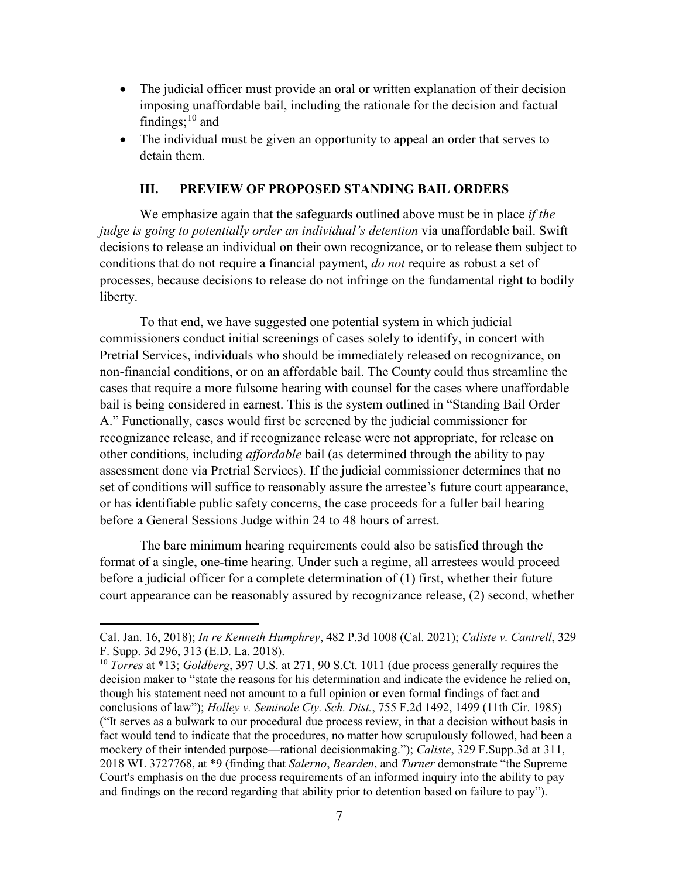- The judicial officer must provide an oral or written explanation of their decision imposing unaffordable bail, including the rationale for the decision and factual findings;  $10$  and
- The individual must be given an opportunity to appeal an order that serves to detain them.

#### **III. PREVIEW OF PROPOSED STANDING BAIL ORDERS**

We emphasize again that the safeguards outlined above must be in place *if the judge is going to potentially order an individual's detention* via unaffordable bail. Swift decisions to release an individual on their own recognizance, or to release them subject to conditions that do not require a financial payment, *do not* require as robust a set of processes, because decisions to release do not infringe on the fundamental right to bodily liberty.

To that end, we have suggested one potential system in which judicial commissioners conduct initial screenings of cases solely to identify, in concert with Pretrial Services, individuals who should be immediately released on recognizance, on non-financial conditions, or on an affordable bail. The County could thus streamline the cases that require a more fulsome hearing with counsel for the cases where unaffordable bail is being considered in earnest. This is the system outlined in "Standing Bail Order A." Functionally, cases would first be screened by the judicial commissioner for recognizance release, and if recognizance release were not appropriate, for release on other conditions, including *affordable* bail (as determined through the ability to pay assessment done via Pretrial Services). If the judicial commissioner determines that no set of conditions will suffice to reasonably assure the arrestee's future court appearance, or has identifiable public safety concerns, the case proceeds for a fuller bail hearing before a General Sessions Judge within 24 to 48 hours of arrest.

The bare minimum hearing requirements could also be satisfied through the format of a single, one-time hearing. Under such a regime, all arrestees would proceed before a judicial officer for a complete determination of (1) first, whether their future court appearance can be reasonably assured by recognizance release, (2) second, whether

l

Cal. Jan. 16, 2018); *In re Kenneth Humphrey*, 482 P.3d 1008 (Cal. 2021); *Caliste v. Cantrell*, 329 F. Supp. 3d 296, 313 (E.D. La. 2018).

<span id="page-6-0"></span><sup>10</sup> *Torres* at \*13; *Goldberg*, 397 U.S. at 271, 90 S.Ct. 1011 (due process generally requires the decision maker to "state the reasons for his determination and indicate the evidence he relied on, though his statement need not amount to a full opinion or even formal findings of fact and conclusions of law"); *Holley v. Seminole Cty. Sch. Dist.*, 755 F.2d 1492, 1499 (11th Cir. 1985) ("It serves as a bulwark to our procedural due process review, in that a decision without basis in fact would tend to indicate that the procedures, no matter how scrupulously followed, had been a mockery of their intended purpose—rational decisionmaking."); *Caliste*, 329 F.Supp.3d at 311, 2018 WL 3727768, at \*9 (finding that *Salerno*, *Bearden*, and *Turner* demonstrate "the Supreme Court's emphasis on the due process requirements of an informed inquiry into the ability to pay and findings on the record regarding that ability prior to detention based on failure to pay").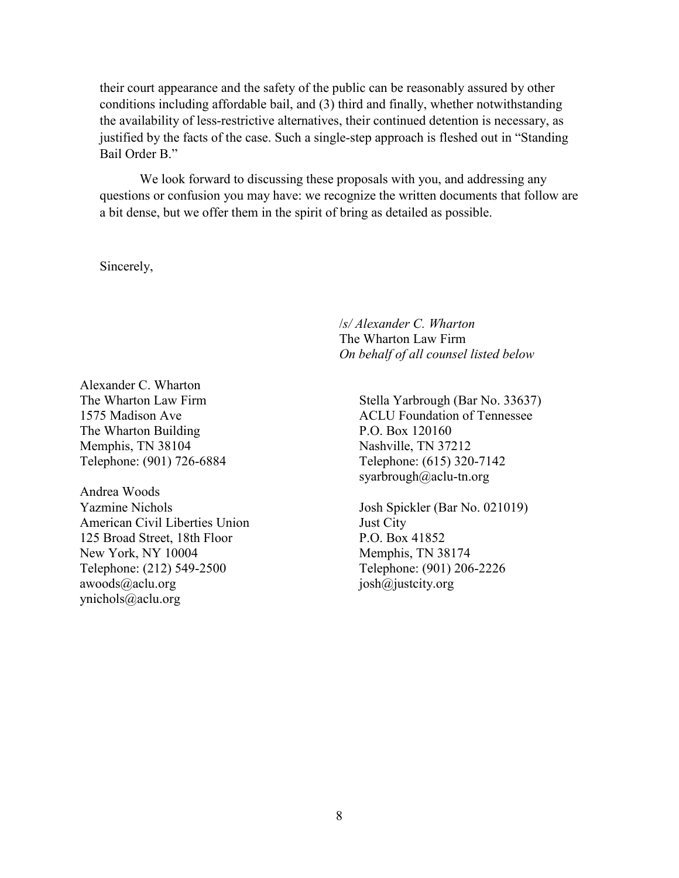their court appearance and the safety of the public can be reasonably assured by other conditions including affordable bail, and (3) third and finally, whether notwithstanding the availability of less-restrictive alternatives, their continued detention is necessary, as justified by the facts of the case. Such a single-step approach is fleshed out in "Standing Bail Order B."

We look forward to discussing these proposals with you, and addressing any questions or confusion you may have: we recognize the written documents that follow are a bit dense, but we offer them in the spirit of bring as detailed as possible.

Sincerely,

/*s/ Alexander C. Wharton* The Wharton Law Firm *On behalf of all counsel listed below*

Alexander C. Wharton The Wharton Law Firm 1575 Madison Ave The Wharton Building Memphis, TN 38104 Telephone: (901) 726-6884

Andrea Woods Yazmine Nichols American Civil Liberties Union 125 Broad Street, 18th Floor New York, NY 10004 Telephone: (212) 549-2500 awoods@aclu.org ynichols@aclu.org

Stella Yarbrough (Bar No. 33637) ACLU Foundation of Tennessee P.O. Box 120160 Nashville, TN 37212 Telephone: (615) 320-7142 syarbrough@aclu-tn.org

Josh Spickler (Bar No. 021019) Just City P.O. Box 41852 Memphis, TN 38174 Telephone: (901) 206-2226 josh@justcity.org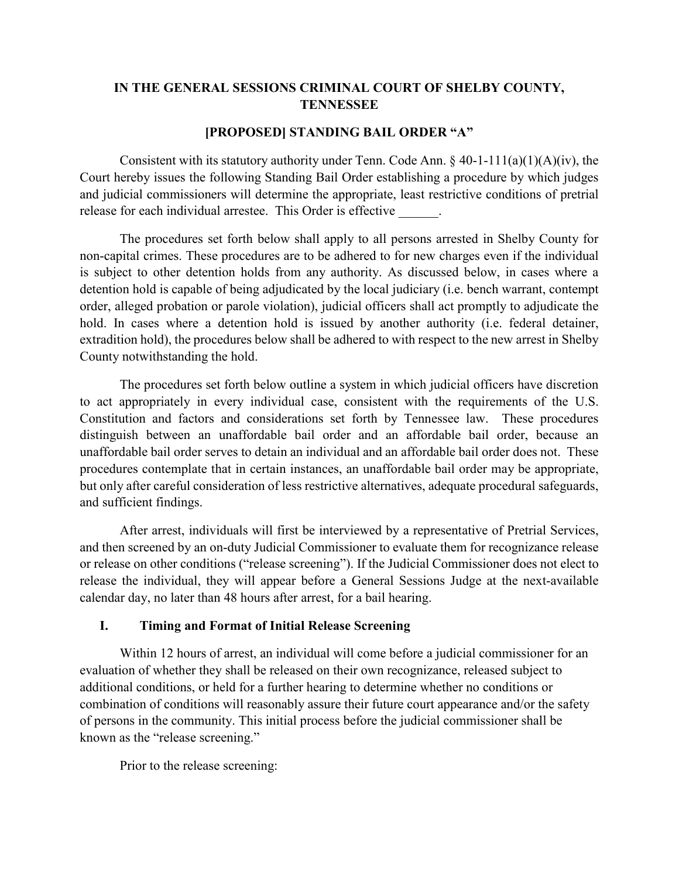# **IN THE GENERAL SESSIONS CRIMINAL COURT OF SHELBY COUNTY, TENNESSEE**

#### **[PROPOSED] STANDING BAIL ORDER "A"**

Consistent with its statutory authority under Tenn. Code Ann.  $\S$  40-1-111(a)(1)(A)(iv), the Court hereby issues the following Standing Bail Order establishing a procedure by which judges and judicial commissioners will determine the appropriate, least restrictive conditions of pretrial release for each individual arrestee. This Order is effective

The procedures set forth below shall apply to all persons arrested in Shelby County for non-capital crimes. These procedures are to be adhered to for new charges even if the individual is subject to other detention holds from any authority. As discussed below, in cases where a detention hold is capable of being adjudicated by the local judiciary (i.e. bench warrant, contempt order, alleged probation or parole violation), judicial officers shall act promptly to adjudicate the hold. In cases where a detention hold is issued by another authority (i.e. federal detainer, extradition hold), the procedures below shall be adhered to with respect to the new arrest in Shelby County notwithstanding the hold.

The procedures set forth below outline a system in which judicial officers have discretion to act appropriately in every individual case, consistent with the requirements of the U.S. Constitution and factors and considerations set forth by Tennessee law. These procedures distinguish between an unaffordable bail order and an affordable bail order, because an unaffordable bail order serves to detain an individual and an affordable bail order does not. These procedures contemplate that in certain instances, an unaffordable bail order may be appropriate, but only after careful consideration of less restrictive alternatives, adequate procedural safeguards, and sufficient findings.

After arrest, individuals will first be interviewed by a representative of Pretrial Services, and then screened by an on-duty Judicial Commissioner to evaluate them for recognizance release or release on other conditions ("release screening"). If the Judicial Commissioner does not elect to release the individual, they will appear before a General Sessions Judge at the next-available calendar day, no later than 48 hours after arrest, for a bail hearing.

# **I. Timing and Format of Initial Release Screening**

Within 12 hours of arrest, an individual will come before a judicial commissioner for an evaluation of whether they shall be released on their own recognizance, released subject to additional conditions, or held for a further hearing to determine whether no conditions or combination of conditions will reasonably assure their future court appearance and/or the safety of persons in the community. This initial process before the judicial commissioner shall be known as the "release screening."

Prior to the release screening: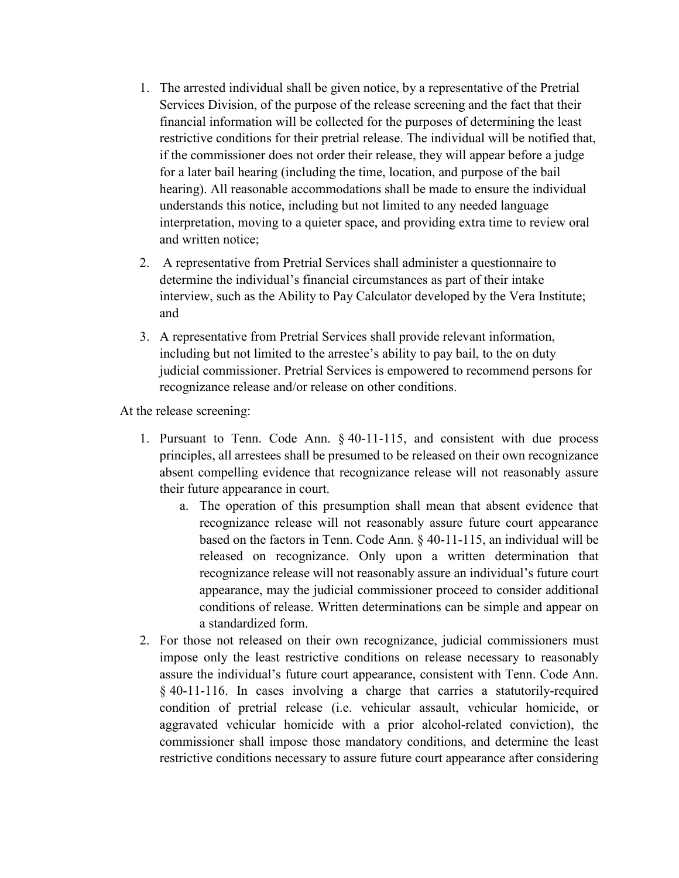- 1. The arrested individual shall be given notice, by a representative of the Pretrial Services Division, of the purpose of the release screening and the fact that their financial information will be collected for the purposes of determining the least restrictive conditions for their pretrial release. The individual will be notified that, if the commissioner does not order their release, they will appear before a judge for a later bail hearing (including the time, location, and purpose of the bail hearing). All reasonable accommodations shall be made to ensure the individual understands this notice, including but not limited to any needed language interpretation, moving to a quieter space, and providing extra time to review oral and written notice;
- 2. A representative from Pretrial Services shall administer a questionnaire to determine the individual's financial circumstances as part of their intake interview, such as the Ability to Pay Calculator developed by the Vera Institute; and
- 3. A representative from Pretrial Services shall provide relevant information, including but not limited to the arrestee's ability to pay bail, to the on duty judicial commissioner. Pretrial Services is empowered to recommend persons for recognizance release and/or release on other conditions.

At the release screening:

- 1. Pursuant to Tenn. Code Ann. § 40-11-115, and consistent with due process principles, all arrestees shall be presumed to be released on their own recognizance absent compelling evidence that recognizance release will not reasonably assure their future appearance in court.
	- a. The operation of this presumption shall mean that absent evidence that recognizance release will not reasonably assure future court appearance based on the factors in Tenn. Code Ann. § 40-11-115, an individual will be released on recognizance. Only upon a written determination that recognizance release will not reasonably assure an individual's future court appearance, may the judicial commissioner proceed to consider additional conditions of release. Written determinations can be simple and appear on a standardized form.
- 2. For those not released on their own recognizance, judicial commissioners must impose only the least restrictive conditions on release necessary to reasonably assure the individual's future court appearance, consistent with Tenn. Code Ann. § 40-11-116. In cases involving a charge that carries a statutorily-required condition of pretrial release (i.e. vehicular assault, vehicular homicide, or aggravated vehicular homicide with a prior alcohol-related conviction), the commissioner shall impose those mandatory conditions, and determine the least restrictive conditions necessary to assure future court appearance after considering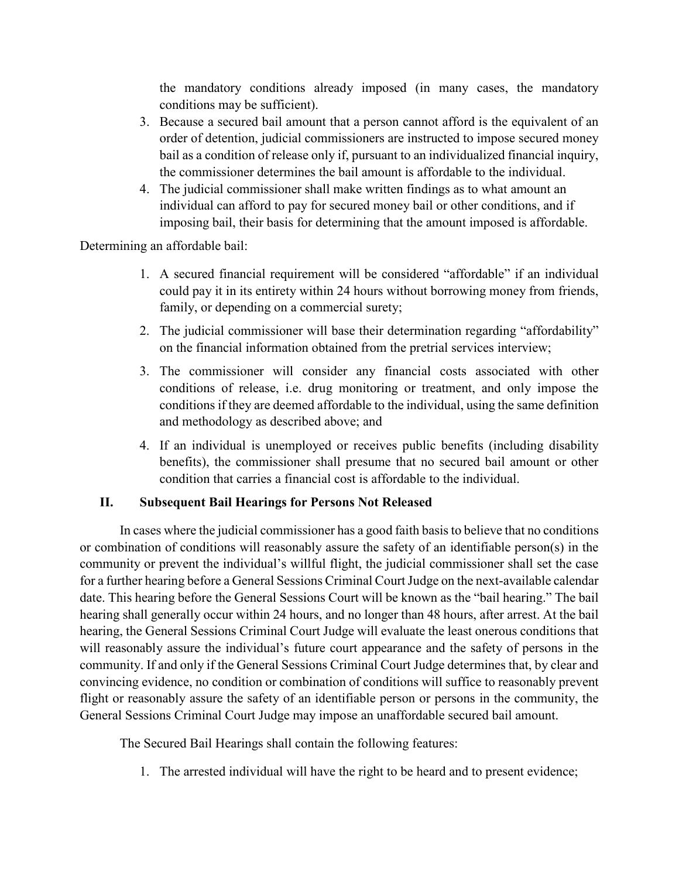the mandatory conditions already imposed (in many cases, the mandatory conditions may be sufficient).

- 3. Because a secured bail amount that a person cannot afford is the equivalent of an order of detention, judicial commissioners are instructed to impose secured money bail as a condition of release only if, pursuant to an individualized financial inquiry, the commissioner determines the bail amount is affordable to the individual.
- 4. The judicial commissioner shall make written findings as to what amount an individual can afford to pay for secured money bail or other conditions, and if imposing bail, their basis for determining that the amount imposed is affordable.

Determining an affordable bail:

- 1. A secured financial requirement will be considered "affordable" if an individual could pay it in its entirety within 24 hours without borrowing money from friends, family, or depending on a commercial surety;
- 2. The judicial commissioner will base their determination regarding "affordability" on the financial information obtained from the pretrial services interview;
- 3. The commissioner will consider any financial costs associated with other conditions of release, i.e. drug monitoring or treatment, and only impose the conditions if they are deemed affordable to the individual, using the same definition and methodology as described above; and
- 4. If an individual is unemployed or receives public benefits (including disability benefits), the commissioner shall presume that no secured bail amount or other condition that carries a financial cost is affordable to the individual.

# **II. Subsequent Bail Hearings for Persons Not Released**

In cases where the judicial commissioner has a good faith basis to believe that no conditions or combination of conditions will reasonably assure the safety of an identifiable person(s) in the community or prevent the individual's willful flight, the judicial commissioner shall set the case for a further hearing before a General Sessions Criminal Court Judge on the next-available calendar date. This hearing before the General Sessions Court will be known as the "bail hearing." The bail hearing shall generally occur within 24 hours, and no longer than 48 hours, after arrest. At the bail hearing, the General Sessions Criminal Court Judge will evaluate the least onerous conditions that will reasonably assure the individual's future court appearance and the safety of persons in the community. If and only if the General Sessions Criminal Court Judge determines that, by clear and convincing evidence, no condition or combination of conditions will suffice to reasonably prevent flight or reasonably assure the safety of an identifiable person or persons in the community, the General Sessions Criminal Court Judge may impose an unaffordable secured bail amount.

The Secured Bail Hearings shall contain the following features:

1. The arrested individual will have the right to be heard and to present evidence;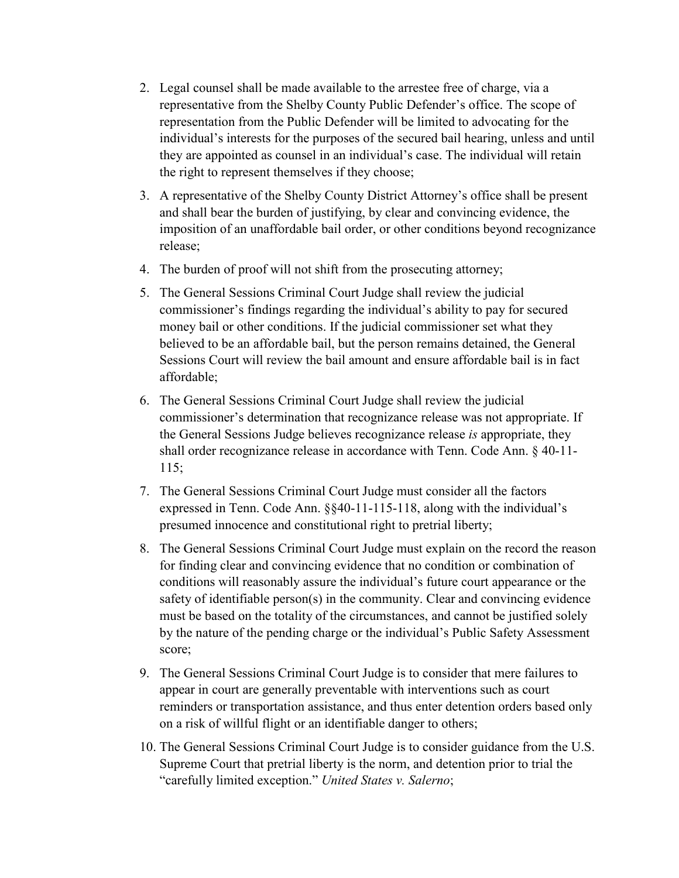- 2. Legal counsel shall be made available to the arrestee free of charge, via a representative from the Shelby County Public Defender's office. The scope of representation from the Public Defender will be limited to advocating for the individual's interests for the purposes of the secured bail hearing, unless and until they are appointed as counsel in an individual's case. The individual will retain the right to represent themselves if they choose;
- 3. A representative of the Shelby County District Attorney's office shall be present and shall bear the burden of justifying, by clear and convincing evidence, the imposition of an unaffordable bail order, or other conditions beyond recognizance release;
- 4. The burden of proof will not shift from the prosecuting attorney;
- 5. The General Sessions Criminal Court Judge shall review the judicial commissioner's findings regarding the individual's ability to pay for secured money bail or other conditions. If the judicial commissioner set what they believed to be an affordable bail, but the person remains detained, the General Sessions Court will review the bail amount and ensure affordable bail is in fact affordable;
- 6. The General Sessions Criminal Court Judge shall review the judicial commissioner's determination that recognizance release was not appropriate. If the General Sessions Judge believes recognizance release *is* appropriate, they shall order recognizance release in accordance with Tenn. Code Ann. § 40-11- 115;
- 7. The General Sessions Criminal Court Judge must consider all the factors expressed in Tenn. Code Ann. §§40-11-115-118, along with the individual's presumed innocence and constitutional right to pretrial liberty;
- 8. The General Sessions Criminal Court Judge must explain on the record the reason for finding clear and convincing evidence that no condition or combination of conditions will reasonably assure the individual's future court appearance or the safety of identifiable person(s) in the community. Clear and convincing evidence must be based on the totality of the circumstances, and cannot be justified solely by the nature of the pending charge or the individual's Public Safety Assessment score;
- 9. The General Sessions Criminal Court Judge is to consider that mere failures to appear in court are generally preventable with interventions such as court reminders or transportation assistance, and thus enter detention orders based only on a risk of willful flight or an identifiable danger to others;
- 10. The General Sessions Criminal Court Judge is to consider guidance from the U.S. Supreme Court that pretrial liberty is the norm, and detention prior to trial the "carefully limited exception." *United States v. Salerno*;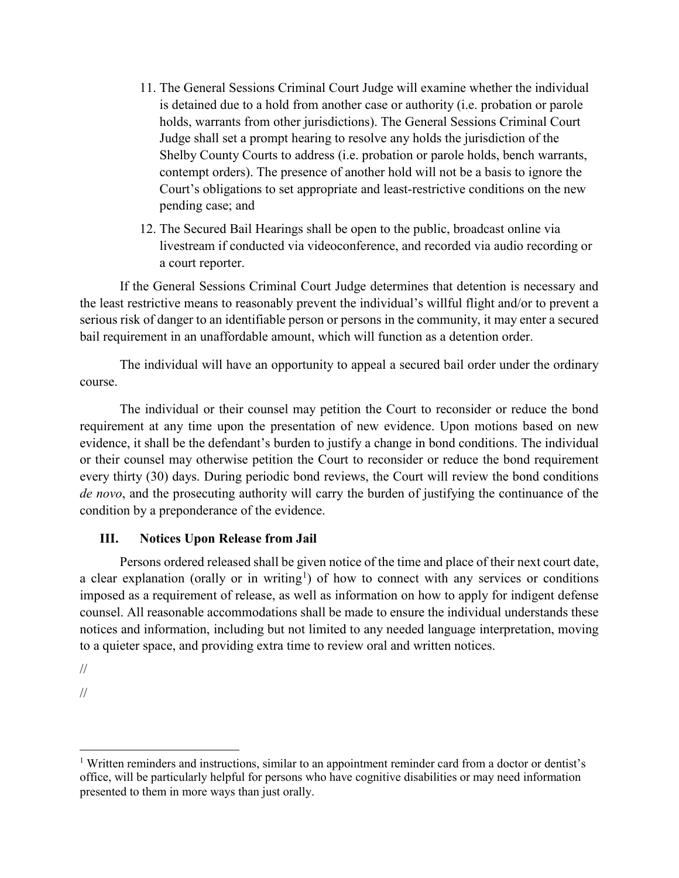- 11. The General Sessions Criminal Court Judge will examine whether the individual is detained due to a hold from another case or authority (i.e. probation or parole holds, warrants from other jurisdictions). The General Sessions Criminal Court Judge shall set a prompt hearing to resolve any holds the jurisdiction of the Shelby County Courts to address (i.e. probation or parole holds, bench warrants, contempt orders). The presence of another hold will not be a basis to ignore the Court's obligations to set appropriate and least-restrictive conditions on the new pending case; and
- 12. The Secured Bail Hearings shall be open to the public, broadcast online via livestream if conducted via videoconference, and recorded via audio recording or a court reporter.

If the General Sessions Criminal Court Judge determines that detention is necessary and the least restrictive means to reasonably prevent the individual's willful flight and/or to prevent a serious risk of danger to an identifiable person or persons in the community, it may enter a secured bail requirement in an unaffordable amount, which will function as a detention order.

The individual will have an opportunity to appeal a secured bail order under the ordinary course.

The individual or their counsel may petition the Court to reconsider or reduce the bond requirement at any time upon the presentation of new evidence. Upon motions based on new evidence, it shall be the defendant's burden to justify a change in bond conditions. The individual or their counsel may otherwise petition the Court to reconsider or reduce the bond requirement every thirty (30) days. During periodic bond reviews, the Court will review the bond conditions *de novo*, and the prosecuting authority will carry the burden of justifying the continuance of the condition by a preponderance of the evidence.

# **III. Notices Upon Release from Jail**

Persons ordered released shall be given notice of the time and place of their next court date, a clear explanation (orally or in writing<sup>[1](#page-12-0)</sup>) of how to connect with any services or conditions imposed as a requirement of release, as well as information on how to apply for indigent defense counsel. All reasonable accommodations shall be made to ensure the individual understands these notices and information, including but not limited to any needed language interpretation, moving to a quieter space, and providing extra time to review oral and written notices.

//

//

 $\overline{\phantom{a}}$ 

<span id="page-12-0"></span><sup>&</sup>lt;sup>1</sup> Written reminders and instructions, similar to an appointment reminder card from a doctor or dentist's office, will be particularly helpful for persons who have cognitive disabilities or may need information presented to them in more ways than just orally.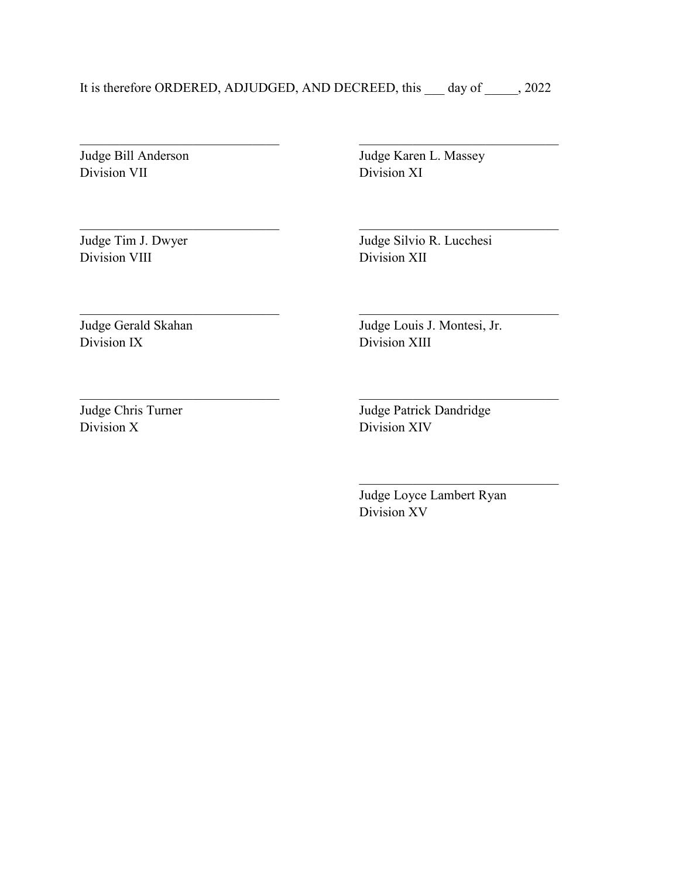It is therefore ORDERED, ADJUDGED, AND DECREED, this day of 3022

Judge Bill Anderson Division VII

Judge Karen L. Massey Division XI

Judge Tim J. Dwyer Division VIII

Judge Silvio R. Lucchesi Division XII

Judge Gerald Skahan Division IX

Judge Louis J. Montesi, Jr. Division XIII

Judge Chris Turner Division X

\_\_\_\_\_\_\_\_\_\_\_\_\_\_\_\_\_\_\_\_\_\_\_\_\_\_\_\_\_\_

Judge Patrick Dandridge Division XIV

\_\_\_\_\_\_\_\_\_\_\_\_\_\_\_\_\_\_\_\_\_\_\_\_\_\_\_\_\_\_

\_\_\_\_\_\_\_\_\_\_\_\_\_\_\_\_\_\_\_\_\_\_\_\_\_\_\_\_\_\_

Judge Loyce Lambert Ryan Division XV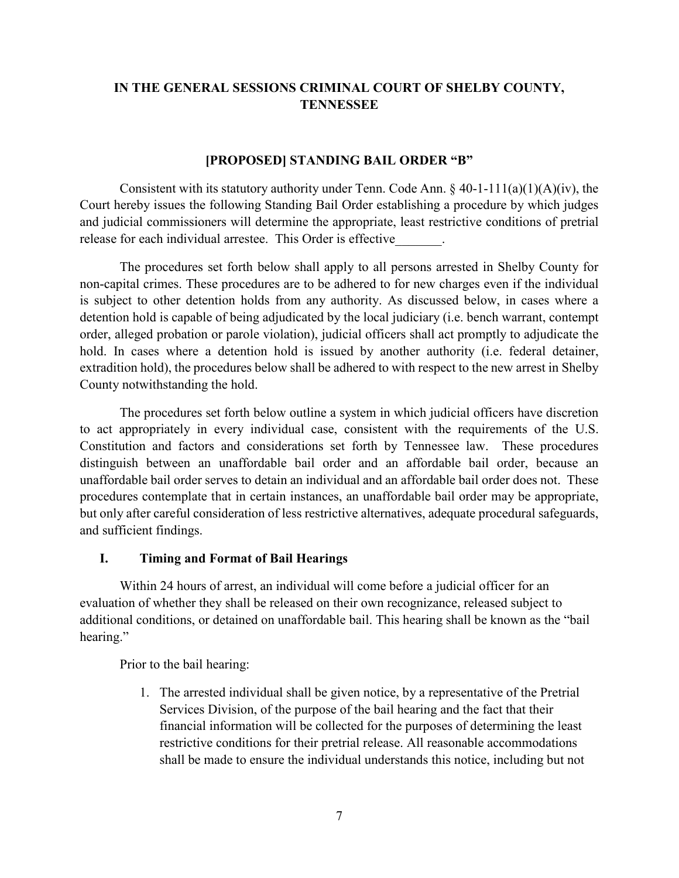# **IN THE GENERAL SESSIONS CRIMINAL COURT OF SHELBY COUNTY, TENNESSEE**

#### **[PROPOSED] STANDING BAIL ORDER "B"**

Consistent with its statutory authority under Tenn. Code Ann.  $\S$  40-1-111(a)(1)(A)(iv), the Court hereby issues the following Standing Bail Order establishing a procedure by which judges and judicial commissioners will determine the appropriate, least restrictive conditions of pretrial release for each individual arrestee. This Order is effective

The procedures set forth below shall apply to all persons arrested in Shelby County for non-capital crimes. These procedures are to be adhered to for new charges even if the individual is subject to other detention holds from any authority. As discussed below, in cases where a detention hold is capable of being adjudicated by the local judiciary (i.e. bench warrant, contempt order, alleged probation or parole violation), judicial officers shall act promptly to adjudicate the hold. In cases where a detention hold is issued by another authority (i.e. federal detainer, extradition hold), the procedures below shall be adhered to with respect to the new arrest in Shelby County notwithstanding the hold.

The procedures set forth below outline a system in which judicial officers have discretion to act appropriately in every individual case, consistent with the requirements of the U.S. Constitution and factors and considerations set forth by Tennessee law. These procedures distinguish between an unaffordable bail order and an affordable bail order, because an unaffordable bail order serves to detain an individual and an affordable bail order does not. These procedures contemplate that in certain instances, an unaffordable bail order may be appropriate, but only after careful consideration of less restrictive alternatives, adequate procedural safeguards, and sufficient findings.

#### **I. Timing and Format of Bail Hearings**

Within 24 hours of arrest, an individual will come before a judicial officer for an evaluation of whether they shall be released on their own recognizance, released subject to additional conditions, or detained on unaffordable bail. This hearing shall be known as the "bail hearing."

Prior to the bail hearing:

1. The arrested individual shall be given notice, by a representative of the Pretrial Services Division, of the purpose of the bail hearing and the fact that their financial information will be collected for the purposes of determining the least restrictive conditions for their pretrial release. All reasonable accommodations shall be made to ensure the individual understands this notice, including but not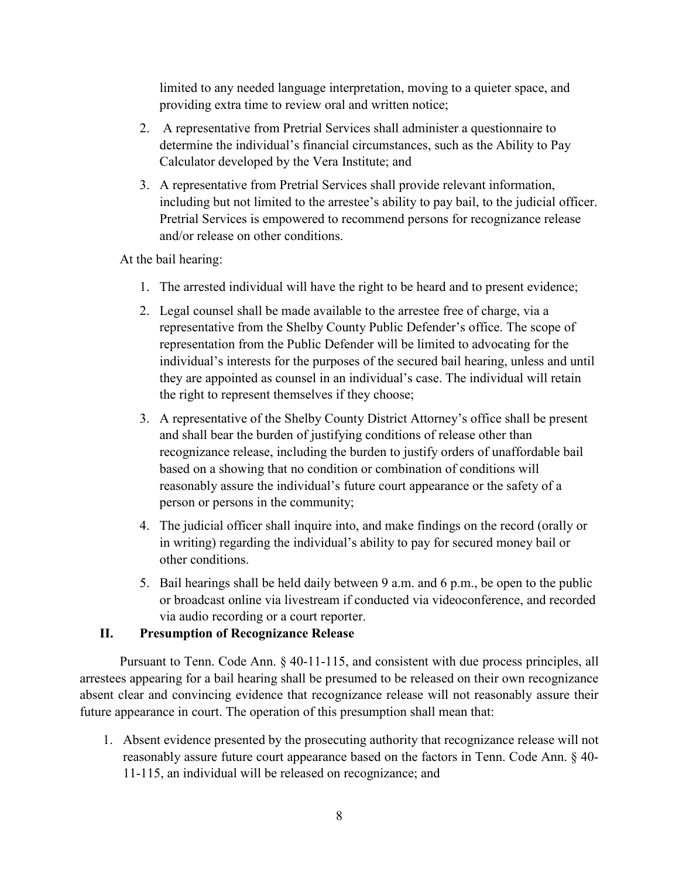limited to any needed language interpretation, moving to a quieter space, and providing extra time to review oral and written notice;

- 2. A representative from Pretrial Services shall administer a questionnaire to determine the individual's financial circumstances, such as the Ability to Pay Calculator developed by the Vera Institute; and
- 3. A representative from Pretrial Services shall provide relevant information, including but not limited to the arrestee's ability to pay bail, to the judicial officer. Pretrial Services is empowered to recommend persons for recognizance release and/or release on other conditions.

At the bail hearing:

- 1. The arrested individual will have the right to be heard and to present evidence;
- 2. Legal counsel shall be made available to the arrestee free of charge, via a representative from the Shelby County Public Defender's office. The scope of representation from the Public Defender will be limited to advocating for the individual's interests for the purposes of the secured bail hearing, unless and until they are appointed as counsel in an individual's case. The individual will retain the right to represent themselves if they choose;
- 3. A representative of the Shelby County District Attorney's office shall be present and shall bear the burden of justifying conditions of release other than recognizance release, including the burden to justify orders of unaffordable bail based on a showing that no condition or combination of conditions will reasonably assure the individual's future court appearance or the safety of a person or persons in the community;
- 4. The judicial officer shall inquire into, and make findings on the record (orally or in writing) regarding the individual's ability to pay for secured money bail or other conditions.
- 5. Bail hearings shall be held daily between 9 a.m. and 6 p.m., be open to the public or broadcast online via livestream if conducted via videoconference, and recorded via audio recording or a court reporter.

# **II. Presumption of Recognizance Release**

Pursuant to Tenn. Code Ann. § 40-11-115, and consistent with due process principles, all arrestees appearing for a bail hearing shall be presumed to be released on their own recognizance absent clear and convincing evidence that recognizance release will not reasonably assure their future appearance in court. The operation of this presumption shall mean that:

1. Absent evidence presented by the prosecuting authority that recognizance release will not reasonably assure future court appearance based on the factors in Tenn. Code Ann. § 40- 11-115, an individual will be released on recognizance; and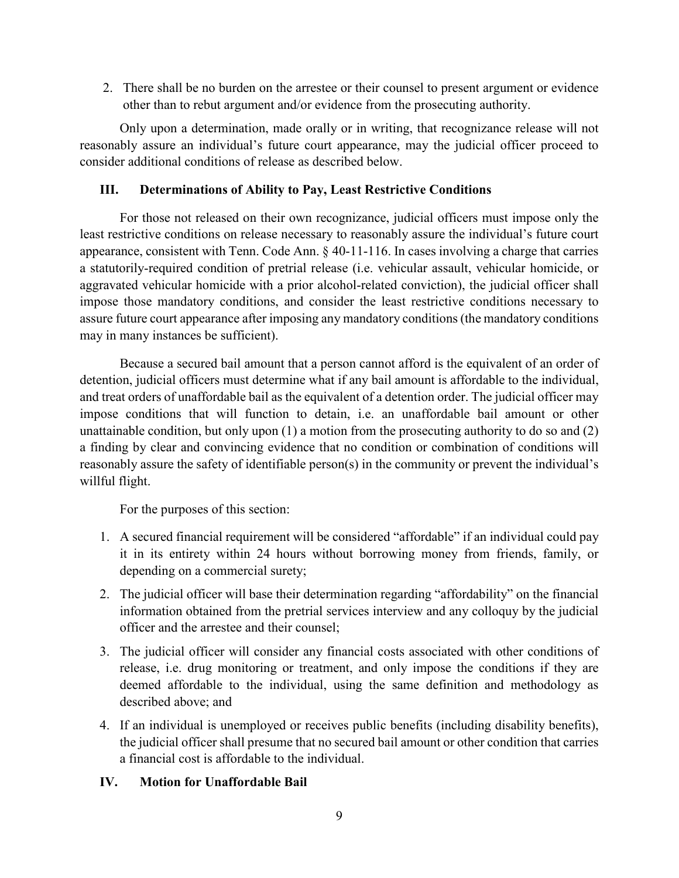2. There shall be no burden on the arrestee or their counsel to present argument or evidence other than to rebut argument and/or evidence from the prosecuting authority.

Only upon a determination, made orally or in writing, that recognizance release will not reasonably assure an individual's future court appearance, may the judicial officer proceed to consider additional conditions of release as described below.

#### **III. Determinations of Ability to Pay, Least Restrictive Conditions**

For those not released on their own recognizance, judicial officers must impose only the least restrictive conditions on release necessary to reasonably assure the individual's future court appearance, consistent with Tenn. Code Ann. § 40-11-116. In cases involving a charge that carries a statutorily-required condition of pretrial release (i.e. vehicular assault, vehicular homicide, or aggravated vehicular homicide with a prior alcohol-related conviction), the judicial officer shall impose those mandatory conditions, and consider the least restrictive conditions necessary to assure future court appearance after imposing any mandatory conditions (the mandatory conditions may in many instances be sufficient).

Because a secured bail amount that a person cannot afford is the equivalent of an order of detention, judicial officers must determine what if any bail amount is affordable to the individual, and treat orders of unaffordable bail as the equivalent of a detention order. The judicial officer may impose conditions that will function to detain, i.e. an unaffordable bail amount or other unattainable condition, but only upon (1) a motion from the prosecuting authority to do so and (2) a finding by clear and convincing evidence that no condition or combination of conditions will reasonably assure the safety of identifiable person(s) in the community or prevent the individual's willful flight.

For the purposes of this section:

- 1. A secured financial requirement will be considered "affordable" if an individual could pay it in its entirety within 24 hours without borrowing money from friends, family, or depending on a commercial surety;
- 2. The judicial officer will base their determination regarding "affordability" on the financial information obtained from the pretrial services interview and any colloquy by the judicial officer and the arrestee and their counsel;
- 3. The judicial officer will consider any financial costs associated with other conditions of release, i.e. drug monitoring or treatment, and only impose the conditions if they are deemed affordable to the individual, using the same definition and methodology as described above; and
- 4. If an individual is unemployed or receives public benefits (including disability benefits), the judicial officer shall presume that no secured bail amount or other condition that carries a financial cost is affordable to the individual.

# **IV. Motion for Unaffordable Bail**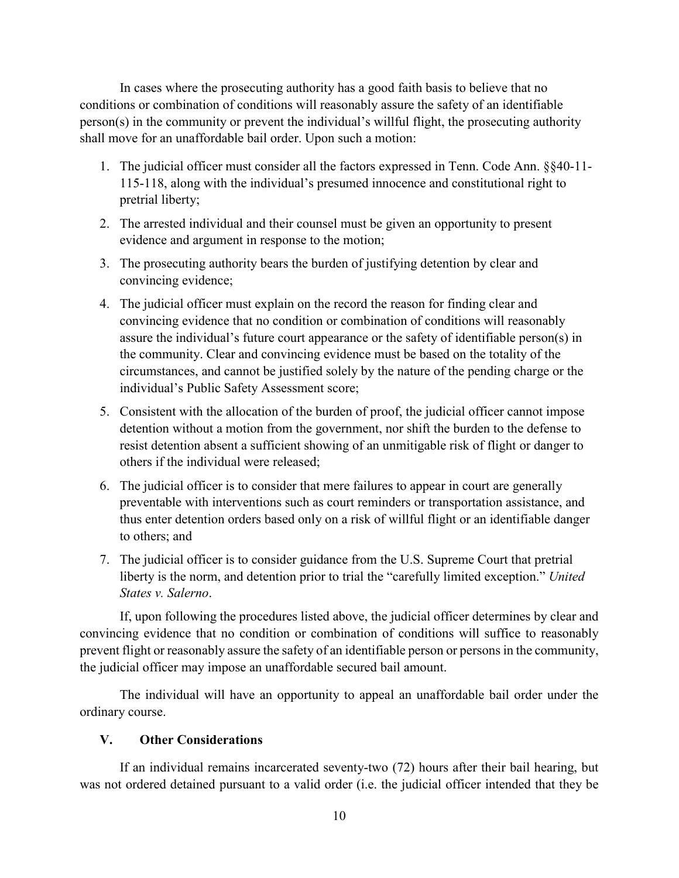In cases where the prosecuting authority has a good faith basis to believe that no conditions or combination of conditions will reasonably assure the safety of an identifiable person(s) in the community or prevent the individual's willful flight, the prosecuting authority shall move for an unaffordable bail order. Upon such a motion:

- 1. The judicial officer must consider all the factors expressed in Tenn. Code Ann. §§40-11- 115-118, along with the individual's presumed innocence and constitutional right to pretrial liberty;
- 2. The arrested individual and their counsel must be given an opportunity to present evidence and argument in response to the motion;
- 3. The prosecuting authority bears the burden of justifying detention by clear and convincing evidence;
- 4. The judicial officer must explain on the record the reason for finding clear and convincing evidence that no condition or combination of conditions will reasonably assure the individual's future court appearance or the safety of identifiable person(s) in the community. Clear and convincing evidence must be based on the totality of the circumstances, and cannot be justified solely by the nature of the pending charge or the individual's Public Safety Assessment score;
- 5. Consistent with the allocation of the burden of proof, the judicial officer cannot impose detention without a motion from the government, nor shift the burden to the defense to resist detention absent a sufficient showing of an unmitigable risk of flight or danger to others if the individual were released;
- 6. The judicial officer is to consider that mere failures to appear in court are generally preventable with interventions such as court reminders or transportation assistance, and thus enter detention orders based only on a risk of willful flight or an identifiable danger to others; and
- 7. The judicial officer is to consider guidance from the U.S. Supreme Court that pretrial liberty is the norm, and detention prior to trial the "carefully limited exception." *United States v. Salerno*.

If, upon following the procedures listed above, the judicial officer determines by clear and convincing evidence that no condition or combination of conditions will suffice to reasonably prevent flight or reasonably assure the safety of an identifiable person or persons in the community, the judicial officer may impose an unaffordable secured bail amount.

The individual will have an opportunity to appeal an unaffordable bail order under the ordinary course.

# **V. Other Considerations**

If an individual remains incarcerated seventy-two (72) hours after their bail hearing, but was not ordered detained pursuant to a valid order (i.e. the judicial officer intended that they be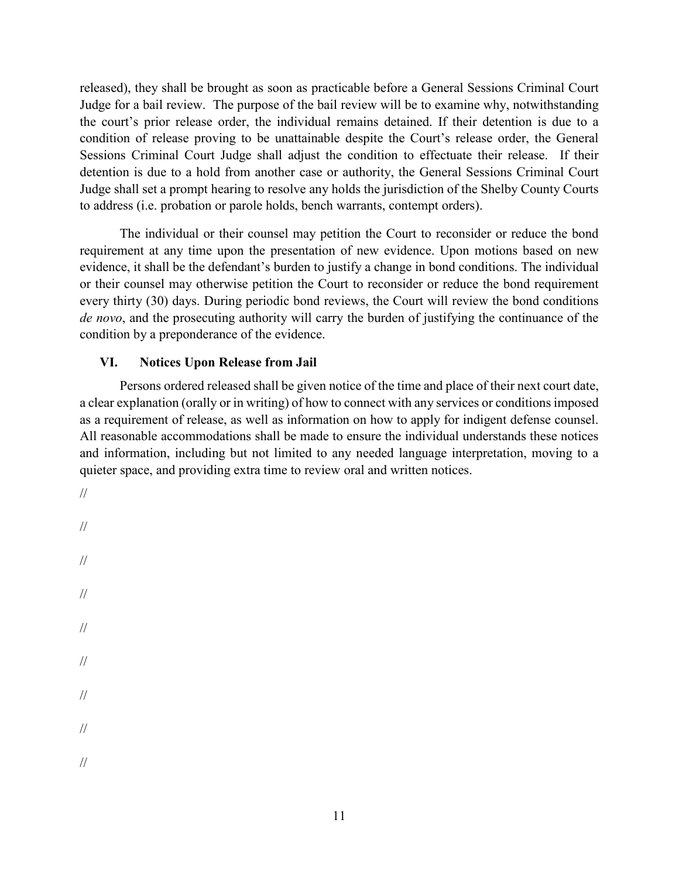released), they shall be brought as soon as practicable before a General Sessions Criminal Court Judge for a bail review. The purpose of the bail review will be to examine why, notwithstanding the court's prior release order, the individual remains detained. If their detention is due to a condition of release proving to be unattainable despite the Court's release order, the General Sessions Criminal Court Judge shall adjust the condition to effectuate their release. If their detention is due to a hold from another case or authority, the General Sessions Criminal Court Judge shall set a prompt hearing to resolve any holds the jurisdiction of the Shelby County Courts to address (i.e. probation or parole holds, bench warrants, contempt orders).

The individual or their counsel may petition the Court to reconsider or reduce the bond requirement at any time upon the presentation of new evidence. Upon motions based on new evidence, it shall be the defendant's burden to justify a change in bond conditions. The individual or their counsel may otherwise petition the Court to reconsider or reduce the bond requirement every thirty (30) days. During periodic bond reviews, the Court will review the bond conditions *de novo*, and the prosecuting authority will carry the burden of justifying the continuance of the condition by a preponderance of the evidence.

#### **VI. Notices Upon Release from Jail**

Persons ordered released shall be given notice of the time and place of their next court date, a clear explanation (orally or in writing) of how to connect with any services or conditions imposed as a requirement of release, as well as information on how to apply for indigent defense counsel. All reasonable accommodations shall be made to ensure the individual understands these notices and information, including but not limited to any needed language interpretation, moving to a quieter space, and providing extra time to review oral and written notices.

- //
- // // // // // // // //